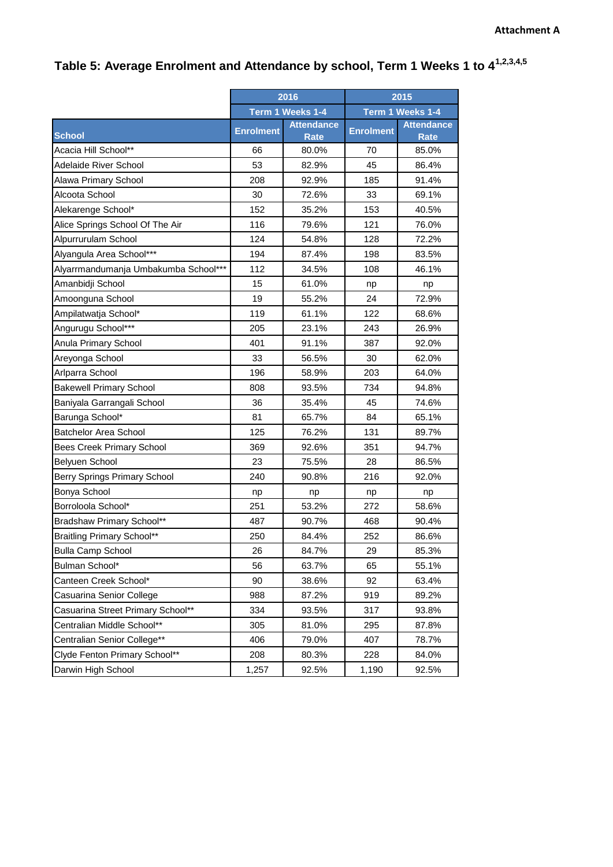## **Table 5: Average Enrolment and Attendance by school, Term 1 Weeks 1 to 41,2,3,4,5**

|                                      | 2016             |                                  | 2015             |                                  |
|--------------------------------------|------------------|----------------------------------|------------------|----------------------------------|
|                                      | Term 1 Weeks 1-4 |                                  | Term 1 Weeks 1-4 |                                  |
| <b>School</b>                        | <b>Enrolment</b> | <b>Attendance</b><br><b>Rate</b> | <b>Enrolment</b> | <b>Attendance</b><br><b>Rate</b> |
| Acacia Hill School**                 | 66               | 80.0%                            | 70               | 85.0%                            |
| Adelaide River School                | 53               | 82.9%                            | 45               | 86.4%                            |
| Alawa Primary School                 | 208              | 92.9%                            | 185              | 91.4%                            |
| Alcoota School                       | 30               | 72.6%                            | 33               | 69.1%                            |
| Alekarenge School*                   | 152              | 35.2%                            | 153              | 40.5%                            |
| Alice Springs School Of The Air      | 116              | 79.6%                            | 121              | 76.0%                            |
| Alpurrurulam School                  | 124              | 54.8%                            | 128              | 72.2%                            |
| Alyangula Area School***             | 194              | 87.4%                            | 198              | 83.5%                            |
| Alyarrmandumanja Umbakumba School*** | 112              | 34.5%                            | 108              | 46.1%                            |
| Amanbidji School                     | 15               | 61.0%                            | np               | np                               |
| Amoonguna School                     | 19               | 55.2%                            | 24               | 72.9%                            |
| Ampilatwatja School*                 | 119              | 61.1%                            | 122              | 68.6%                            |
| Angurugu School***                   | 205              | 23.1%                            | 243              | 26.9%                            |
| Anula Primary School                 | 401              | 91.1%                            | 387              | 92.0%                            |
| Areyonga School                      | 33               | 56.5%                            | 30               | 62.0%                            |
| Arlparra School                      | 196              | 58.9%                            | 203              | 64.0%                            |
| <b>Bakewell Primary School</b>       | 808              | 93.5%                            | 734              | 94.8%                            |
| Baniyala Garrangali School           | 36               | 35.4%                            | 45               | 74.6%                            |
| Barunga School*                      | 81               | 65.7%                            | 84               | 65.1%                            |
| <b>Batchelor Area School</b>         | 125              | 76.2%                            | 131              | 89.7%                            |
| <b>Bees Creek Primary School</b>     | 369              | 92.6%                            | 351              | 94.7%                            |
| Belyuen School                       | 23               | 75.5%                            | 28               | 86.5%                            |
| Berry Springs Primary School         | 240              | 90.8%                            | 216              | 92.0%                            |
| Bonya School                         | np               | np                               | np               | np                               |
| Borroloola School*                   | 251              | 53.2%                            | 272              | 58.6%                            |
| Bradshaw Primary School**            | 487              | 90.7%                            | 468              | 90.4%                            |
| <b>Braitling Primary School**</b>    | 250              | 84.4%                            | 252              | 86.6%                            |
| <b>Bulla Camp School</b>             | 26               | 84.7%                            | 29               | 85.3%                            |
| Bulman School*                       | 56               | 63.7%                            | 65               | 55.1%                            |
| Canteen Creek School*                | 90               | 38.6%                            | 92               | 63.4%                            |
| Casuarina Senior College             | 988              | 87.2%                            | 919              | 89.2%                            |
| Casuarina Street Primary School**    | 334              | 93.5%                            | 317              | 93.8%                            |
| Centralian Middle School**           | 305              | 81.0%                            | 295              | 87.8%                            |
| Centralian Senior College**          | 406              | 79.0%                            | 407              | 78.7%                            |
| Clyde Fenton Primary School**        | 208              | 80.3%                            | 228              | 84.0%                            |
| Darwin High School                   | 1,257            | 92.5%                            | 1,190            | 92.5%                            |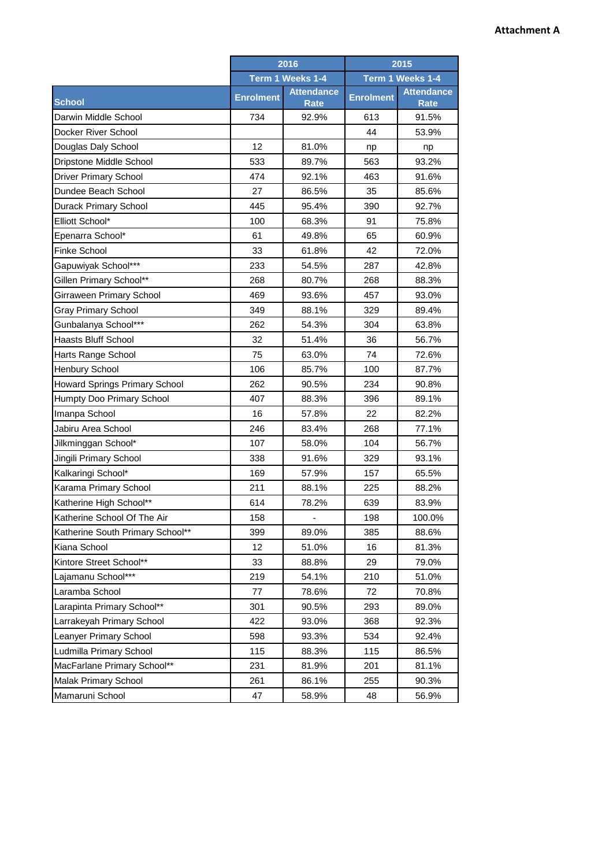|                                  | 2016             |                                  | 2015             |                                  |
|----------------------------------|------------------|----------------------------------|------------------|----------------------------------|
|                                  | Term 1 Weeks 1-4 |                                  | Term 1 Weeks 1-4 |                                  |
| <b>School</b>                    | <b>Enrolment</b> | <b>Attendance</b><br><b>Rate</b> | <b>Enrolment</b> | <b>Attendance</b><br><b>Rate</b> |
| Darwin Middle School             | 734              | 92.9%                            | 613              | 91.5%                            |
| Docker River School              |                  |                                  | 44               | 53.9%                            |
| Douglas Daly School              | 12               | 81.0%                            | np               | np                               |
| Dripstone Middle School          | 533              | 89.7%                            | 563              | 93.2%                            |
| <b>Driver Primary School</b>     | 474              | 92.1%                            | 463              | 91.6%                            |
| Dundee Beach School              | 27               | 86.5%                            | 35               | 85.6%                            |
| Durack Primary School            | 445              | 95.4%                            | 390              | 92.7%                            |
| Elliott School*                  | 100              | 68.3%                            | 91               | 75.8%                            |
| Epenarra School*                 | 61               | 49.8%                            | 65               | 60.9%                            |
| <b>Finke School</b>              | 33               | 61.8%                            | 42               | 72.0%                            |
| Gapuwiyak School***              | 233              | 54.5%                            | 287              | 42.8%                            |
| Gillen Primary School**          | 268              | 80.7%                            | 268              | 88.3%                            |
| Girraween Primary School         | 469              | 93.6%                            | 457              | 93.0%                            |
| <b>Gray Primary School</b>       | 349              | 88.1%                            | 329              | 89.4%                            |
| Gunbalanya School***             | 262              | 54.3%                            | 304              | 63.8%                            |
| <b>Haasts Bluff School</b>       | 32               | 51.4%                            | 36               | 56.7%                            |
| Harts Range School               | 75               | 63.0%                            | 74               | 72.6%                            |
| Henbury School                   | 106              | 85.7%                            | 100              | 87.7%                            |
| Howard Springs Primary School    | 262              | 90.5%                            | 234              | 90.8%                            |
| Humpty Doo Primary School        | 407              | 88.3%                            | 396              | 89.1%                            |
| Imanpa School                    | 16               | 57.8%                            | 22               | 82.2%                            |
| Jabiru Area School               | 246              | 83.4%                            | 268              | 77.1%                            |
| Jilkminggan School*              | 107              | 58.0%                            | 104              | 56.7%                            |
| Jingili Primary School           | 338              | 91.6%                            | 329              | 93.1%                            |
| Kalkaringi School*               | 169              | 57.9%                            | 157              | 65.5%                            |
| Karama Primary School            | 211              | 88.1%                            | 225              | 88.2%                            |
| Katherine High School**          | 614              | 78.2%                            | 639              | 83.9%                            |
| Katherine School Of The Air      | 158              |                                  | 198              | 100.0%                           |
| Katherine South Primary School** | 399              | 89.0%                            | 385              | 88.6%                            |
| Kiana School                     | 12               | 51.0%                            | 16               | 81.3%                            |
| Kintore Street School**          | 33               | 88.8%                            | 29               | 79.0%                            |
| Lajamanu School***               | 219              | 54.1%                            | 210              | 51.0%                            |
| Laramba School                   | 77               | 78.6%                            | 72               | 70.8%                            |
| Larapinta Primary School**       | 301              | 90.5%                            | 293              | 89.0%                            |
| Larrakeyah Primary School        | 422              | 93.0%                            | 368              | 92.3%                            |
| Leanyer Primary School           | 598              | 93.3%                            | 534              | 92.4%                            |
| Ludmilla Primary School          | 115              | 88.3%                            | 115              | 86.5%                            |
| MacFarlane Primary School**      | 231              | 81.9%                            | 201              | 81.1%                            |
| <b>Malak Primary School</b>      | 261              | 86.1%                            | 255              | 90.3%                            |
| Mamaruni School                  | 47               | 58.9%                            | 48               | 56.9%                            |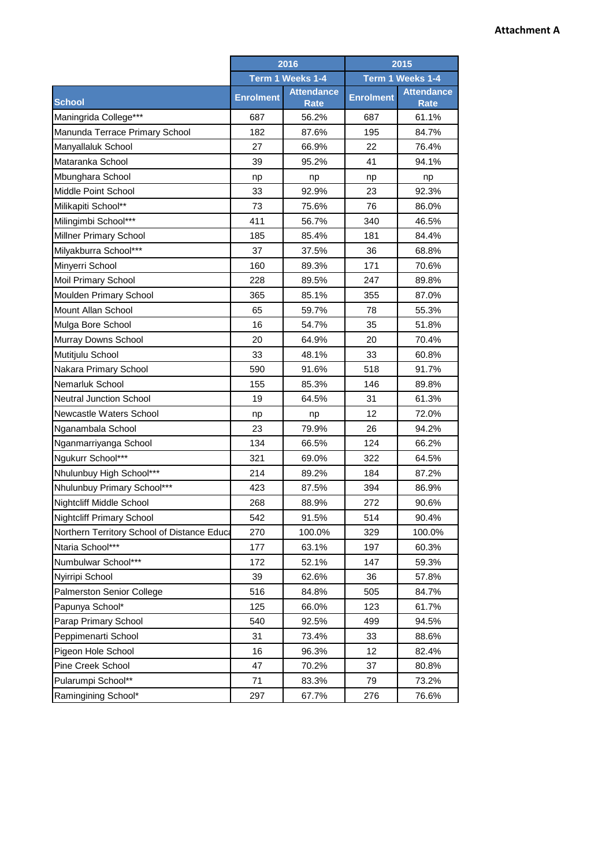|                                             | 2016<br>Term 1 Weeks 1-4 |                                  | 2015             |                                  |
|---------------------------------------------|--------------------------|----------------------------------|------------------|----------------------------------|
|                                             |                          |                                  | Term 1 Weeks 1-4 |                                  |
| <b>School</b>                               | <b>Enrolment</b>         | <b>Attendance</b><br><b>Rate</b> | <b>Enrolment</b> | <b>Attendance</b><br><b>Rate</b> |
| Maningrida College***                       | 687                      | 56.2%                            | 687              | 61.1%                            |
| Manunda Terrace Primary School              | 182                      | 87.6%                            | 195              | 84.7%                            |
| Manyallaluk School                          | 27                       | 66.9%                            | 22               | 76.4%                            |
| Mataranka School                            | 39                       | 95.2%                            | 41               | 94.1%                            |
| Mbunghara School                            | np                       | np                               | np               | np                               |
| Middle Point School                         | 33                       | 92.9%                            | 23               | 92.3%                            |
| Milikapiti School**                         | 73                       | 75.6%                            | 76               | 86.0%                            |
| Milingimbi School***                        | 411                      | 56.7%                            | 340              | 46.5%                            |
| Millner Primary School                      | 185                      | 85.4%                            | 181              | 84.4%                            |
| Milyakburra School***                       | 37                       | 37.5%                            | 36               | 68.8%                            |
| Minyerri School                             | 160                      | 89.3%                            | 171              | 70.6%                            |
| Moil Primary School                         | 228                      | 89.5%                            | 247              | 89.8%                            |
| Moulden Primary School                      | 365                      | 85.1%                            | 355              | 87.0%                            |
| Mount Allan School                          | 65                       | 59.7%                            | 78               | 55.3%                            |
| Mulga Bore School                           | 16                       | 54.7%                            | 35               | 51.8%                            |
| Murray Downs School                         | 20                       | 64.9%                            | 20               | 70.4%                            |
| Mutitjulu School                            | 33                       | 48.1%                            | 33               | 60.8%                            |
| Nakara Primary School                       | 590                      | 91.6%                            | 518              | 91.7%                            |
| Nemarluk School                             | 155                      | 85.3%                            | 146              | 89.8%                            |
| <b>Neutral Junction School</b>              | 19                       | 64.5%                            | 31               | 61.3%                            |
| Newcastle Waters School                     | np                       | np                               | 12               | 72.0%                            |
| Nganambala School                           | 23                       | 79.9%                            | 26               | 94.2%                            |
| Nganmarriyanga School                       | 134                      | 66.5%                            | 124              | 66.2%                            |
| Ngukurr School***                           | 321                      | 69.0%                            | 322              | 64.5%                            |
| Nhulunbuy High School***                    | 214                      | 89.2%                            | 184              | 87.2%                            |
| Nhulunbuy Primary School***                 | 423                      | 87.5%                            | 394              | 86.9%                            |
| Nightcliff Middle School                    | 268                      | 88.9%                            | 272              | 90.6%                            |
| <b>Nightcliff Primary School</b>            | 542                      | 91.5%                            | 514              | 90.4%                            |
| Northern Territory School of Distance Educa | 270                      | 100.0%                           | 329              | 100.0%                           |
| Ntaria School***                            | 177                      | 63.1%                            | 197              | 60.3%                            |
| Numbulwar School***                         | 172                      | 52.1%                            | 147              | 59.3%                            |
| Nyirripi School                             | 39                       | 62.6%                            | 36               | 57.8%                            |
| <b>Palmerston Senior College</b>            | 516                      | 84.8%                            | 505              | 84.7%                            |
| Papunya School*                             | 125                      | 66.0%                            | 123              | 61.7%                            |
| Parap Primary School                        | 540                      | 92.5%                            | 499              | 94.5%                            |
| Peppimenarti School                         | 31                       | 73.4%                            | 33               | 88.6%                            |
| Pigeon Hole School                          | 16                       | 96.3%                            | 12               | 82.4%                            |
| Pine Creek School                           | 47                       | 70.2%                            | 37               | 80.8%                            |
| Pularumpi School**                          | 71                       | 83.3%                            | 79               | 73.2%                            |
| Ramingining School*                         | 297                      | 67.7%                            | 276              | 76.6%                            |